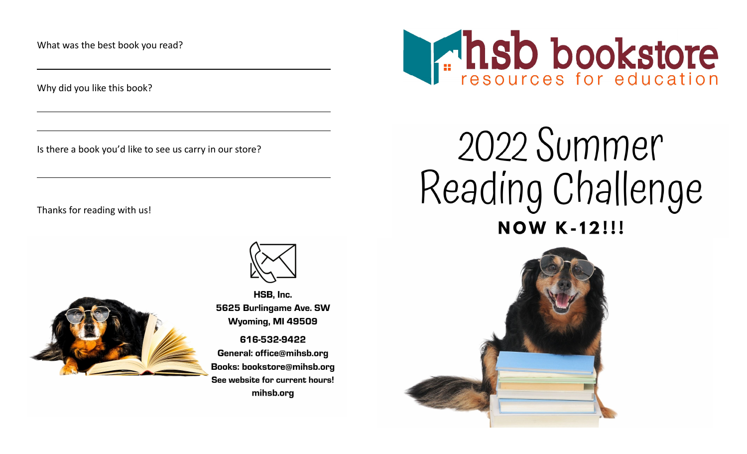What was the best book you read?

Why did you like this book?

Is there a book you'd like to see us carry in our store?

Thanks for reading with us!





HSB. Inc. 5625 Burlingame Ave. SW Wyoming, MI 49509

616-532-9422 General: office@mihsb.org Books: bookstore@mihsb.org See website for current hours! mihsb.org



## 2022 Summer Reading Challenge **NOW K-12!!!**